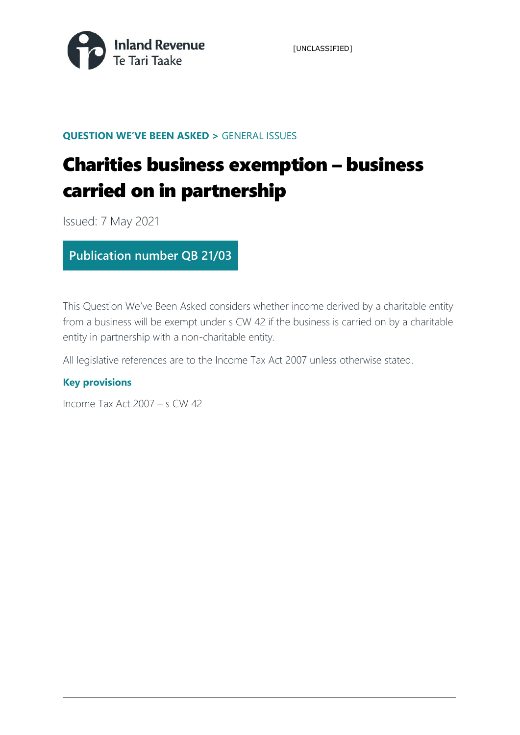

[UNCLASSIFIED]

### **QUESTION WE'VE BEEN ASKED >** GENERAL ISSUES

# Charities business exemption – business carried on in partnership

Issued: 7 May 2021

### **Publication number QB 21/03**

This Question We've Been Asked considers whether income derived by a charitable entity from a business will be exempt under s CW 42 if the business is carried on by a charitable entity in partnership with a non-charitable entity.

All legislative references are to the Income Tax Act 2007 unless otherwise stated.

### **Key provisions**

Income Tax Act 2007 – s CW 42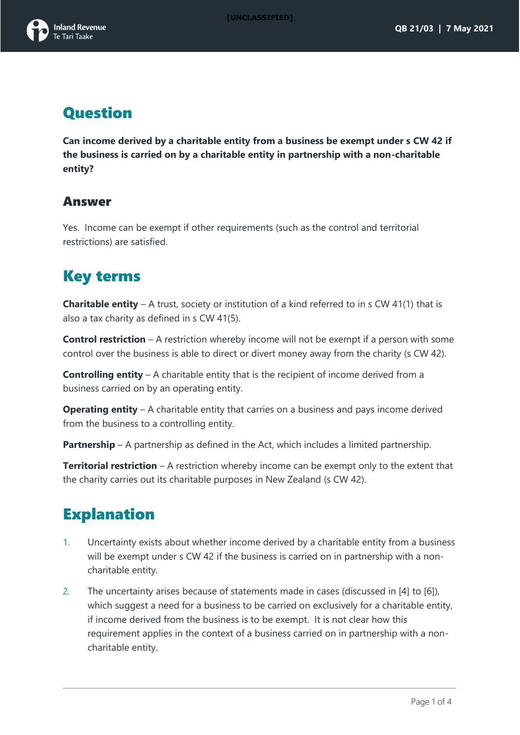

## **Question**

**Can income derived by a charitable entity from a business be exempt under s CW 42 if the business is carried on by a charitable entity in partnership with a non-charitable entity?**

### Answer

Yes. Income can be exempt if other requirements (such as the control and territorial restrictions) are satisfied.

## Key terms

**Charitable entity** – A trust, society or institution of a kind referred to in s CW 41(1) that is also a tax charity as defined in s CW 41(5).

**Control restriction** – A restriction whereby income will not be exempt if a person with some control over the business is able to direct or divert money away from the charity (s CW 42).

**Controlling entity** – A charitable entity that is the recipient of income derived from a business carried on by an operating entity.

**Operating entity** – A charitable entity that carries on a business and pays income derived from the business to a controlling entity.

**Partnership** – A partnership as defined in the Act, which includes a limited partnership.

**Territorial restriction** – A restriction whereby income can be exempt only to the extent that the charity carries out its charitable purposes in New Zealand (s CW 42).

## **Explanation**

- 1. Uncertainty exists about whether income derived by a charitable entity from a business will be exempt under s CW 42 if the business is carried on in partnership with a noncharitable entity.
- 2. The uncertainty arises because of statements made in cases (discussed in [\[4\]](#page-2-0) to [\[6\]](#page-2-1)), which suggest a need for a business to be carried on exclusively for a charitable entity, if income derived from the business is to be exempt. It is not clear how this requirement applies in the context of a business carried on in partnership with a noncharitable entity.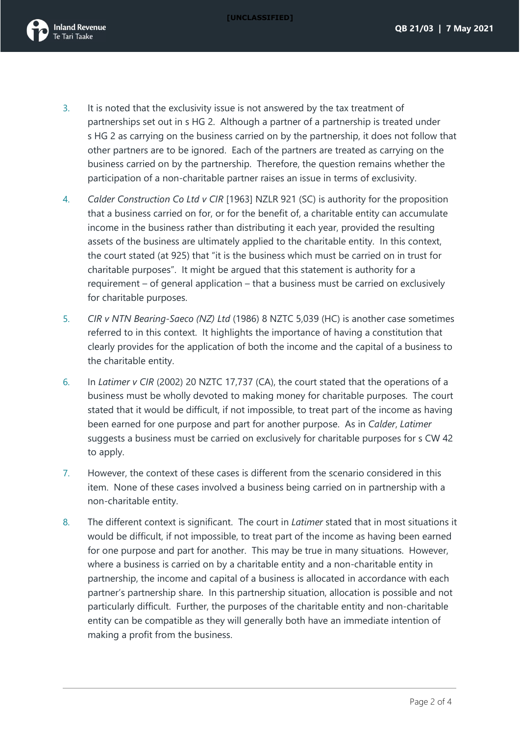

- 3. It is noted that the exclusivity issue is not answered by the tax treatment of partnerships set out in s HG 2. Although a partner of a partnership is treated under s HG 2 as carrying on the business carried on by the partnership, it does not follow that other partners are to be ignored. Each of the partners are treated as carrying on the business carried on by the partnership. Therefore, the question remains whether the participation of a non-charitable partner raises an issue in terms of exclusivity.
- <span id="page-2-0"></span>4. *Calder Construction Co Ltd v CIR* [1963] NZLR 921 (SC) is authority for the proposition that a business carried on for, or for the benefit of, a charitable entity can accumulate income in the business rather than distributing it each year, provided the resulting assets of the business are ultimately applied to the charitable entity. In this context, the court stated (at 925) that "it is the business which must be carried on in trust for charitable purposes". It might be argued that this statement is authority for a requirement – of general application – that a business must be carried on exclusively for charitable purposes.
- 5. *CIR v NTN Bearing-Saeco (NZ) Ltd* (1986) 8 NZTC 5,039 (HC) is another case sometimes referred to in this context. It highlights the importance of having a constitution that clearly provides for the application of both the income and the capital of a business to the charitable entity.
- <span id="page-2-1"></span>6. In *Latimer v CIR* (2002) 20 NZTC 17,737 (CA), the court stated that the operations of a business must be wholly devoted to making money for charitable purposes. The court stated that it would be difficult, if not impossible, to treat part of the income as having been earned for one purpose and part for another purpose. As in *Calder*, *Latimer* suggests a business must be carried on exclusively for charitable purposes for s CW 42 to apply.
- 7. However, the context of these cases is different from the scenario considered in this item. None of these cases involved a business being carried on in partnership with a non-charitable entity.
- 8. The different context is significant. The court in *Latimer* stated that in most situations it would be difficult, if not impossible, to treat part of the income as having been earned for one purpose and part for another. This may be true in many situations. However, where a business is carried on by a charitable entity and a non-charitable entity in partnership, the income and capital of a business is allocated in accordance with each partner's partnership share. In this partnership situation, allocation is possible and not particularly difficult. Further, the purposes of the charitable entity and non-charitable entity can be compatible as they will generally both have an immediate intention of making a profit from the business.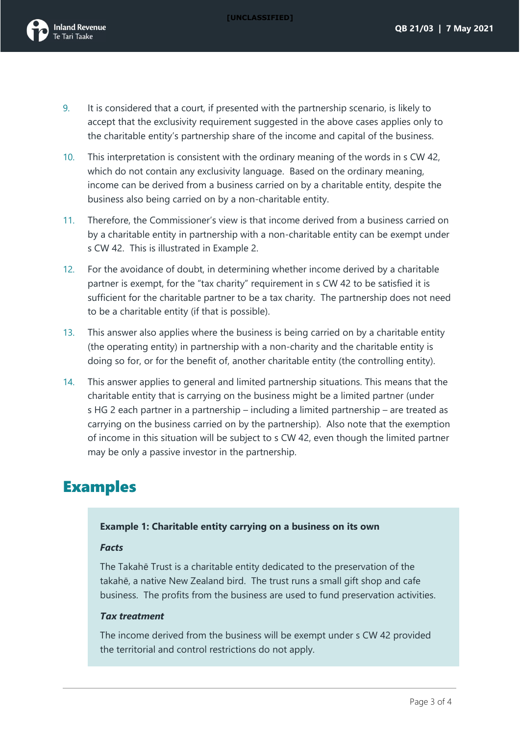

- 9. It is considered that a court, if presented with the partnership scenario, is likely to accept that the exclusivity requirement suggested in the above cases applies only to the charitable entity's partnership share of the income and capital of the business.
- 10. This interpretation is consistent with the ordinary meaning of the words in s CW 42, which do not contain any exclusivity language. Based on the ordinary meaning, income can be derived from a business carried on by a charitable entity, despite the business also being carried on by a non-charitable entity.
- 11. Therefore, the Commissioner's view is that income derived from a business carried on by a charitable entity in partnership with a non-charitable entity can be exempt under s CW 42. This is illustrated in Example 2.
- 12. For the avoidance of doubt, in determining whether income derived by a charitable partner is exempt, for the "tax charity" requirement in s CW 42 to be satisfied it is sufficient for the charitable partner to be a tax charity. The partnership does not need to be a charitable entity (if that is possible).
- 13. This answer also applies where the business is being carried on by a charitable entity (the operating entity) in partnership with a non-charity and the charitable entity is doing so for, or for the benefit of, another charitable entity (the controlling entity).
- 14. This answer applies to general and limited partnership situations. This means that the charitable entity that is carrying on the business might be a limited partner (under s HG 2 each partner in a partnership – including a limited partnership – are treated as carrying on the business carried on by the partnership). Also note that the exemption of income in this situation will be subject to s CW 42, even though the limited partner may be only a passive investor in the partnership.

### Examples

#### **Example 1: Charitable entity carrying on a business on its own**

#### *Facts*

The Takahē Trust is a charitable entity dedicated to the preservation of the takahē, a native New Zealand bird. The trust runs a small gift shop and cafe business. The profits from the business are used to fund preservation activities.

#### *Tax treatment*

The income derived from the business will be exempt under s CW 42 provided the territorial and control restrictions do not apply.